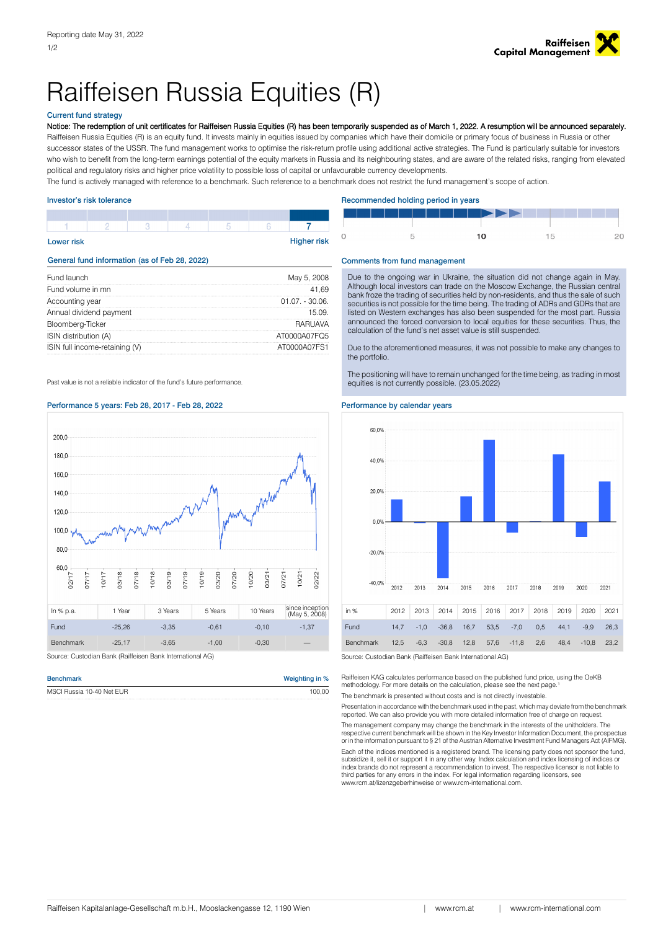

# Raiffeisen Russia Equities (R)

# Current fund strategy

Notice: The redemption of unit certificates for Raiffeisen Russia Equities (R) has been temporarily suspended as of March 1, 2022. A resumption will be announced separately.

Raiffeisen Russia Equities (R) is an equity fund. It invests mainly in equities issued by companies which have their domicile or primary focus of business in Russia or other successor states of the USSR. The fund management works to optimise the risk-return profile using additional active strategies. The Fund is particularly suitable for investors who wish to benefit from the long-term earnings potential of the equity markets in Russia and its neighbouring states, and are aware of the related risks, ranging from elevated political and regulatory risks and higher price volatility to possible loss of capital or unfavourable currency developments.

The fund is actively managed with reference to a benchmark. Such reference to a benchmark does not restrict the fund management's scope of action.

| <b>Lower risk</b> |  |  | <b>Higher risk</b> |
|-------------------|--|--|--------------------|
|                   |  |  |                    |
|                   |  |  |                    |

# General fund information (as of Feb 28, 2022)

| Fund launch                    | May 5, 2008     |
|--------------------------------|-----------------|
| Fund volume in mn              | 41 RQ           |
| Accounting year                | $01.07 - 30.06$ |
| Annual dividend payment        | 15 NQ           |
| Bloomberg-Ticker               | RARI IAVA       |
| ISIN distribution (A)          | AT0000A07FO5    |
| ISIN full income-retaining (V) | AT0000A07FS1    |

Past value is not a reliable indicator of the fund's future performance.

# Performance 5 years: Feb 28, 2017 - Feb 28, 2022 Performance by calendar years



| <b>Benchmark</b>          | Weighting in % |
|---------------------------|----------------|
| MSCI Russia 10-40 Net EUR | 100.00         |

## Investor's risk tolerance **Recommended holding period in years** and the Recommended holding period in years

|  | ▆▊▖▊▊▊▊▊▊▊▊▊▊▊▊▛▛▛▛▛▏▏▏▏▏▏▏▏ |  |
|--|------------------------------|--|
|  |                              |  |

### Comments from fund management

Due to the ongoing war in Ukraine, the situation did not change again in May. Although local investors can trade on the Moscow Exchange, the Russian central bank froze the trading of securities held by non-residents, and thus the sale of such securities is not possible for the time being. The trading of ADRs and GDRs that are listed on Western exchanges has also been suspended for the most part. Russia announced the forced conversion to local equities for these securities. Thus, the calculation of the fund's net asset value is still suspended.

Due to the aforementioned measures, it was not possible to make any changes to the portfolio.

The positioning will have to remain unchanged for the time being, as trading in most equities is not currently possible. (23.05.2022)



Raiffeisen KAG calculates performance based on the published fund price, using the OeKB<br>methodology. For more details on the calculation, please see the next page.<sup>1</sup>

The benchmark is presented without costs and is not directly investable.

Presentation in accordance with the benchmark used in the past, which may deviate from the benchmark reported. We can also provide you with more detailed information free of charge on request.

The management company may change the benchmark in the interests of the unitholders. The respective current benchmark will be shown in the Key Investor Information Document, the prospectus or in the information pursuant to § 21 of the Austrian Alternative Investment Fund Managers Act (AIFMG).

Each of the indices mentioned is a registered brand. The licensing party does not sponsor the fund,<br>subsidize it, sell it or support it in any other way. Index calculation and index licensing of indices or<br>index brands do third parties for any errors in the index. For legal information regarding licensors, see www.rcm.at/lizenzgeberhinweise or www.rcm-international.com.